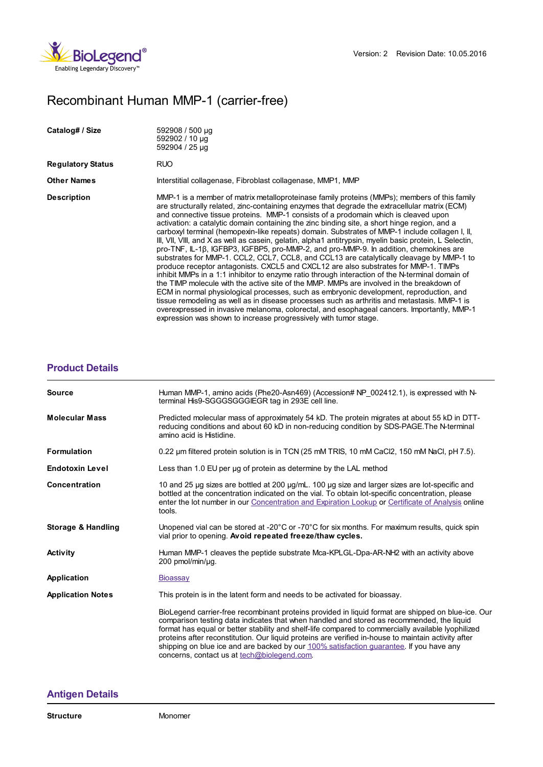

## Recombinant Human MMP-1 (carrier-free)

| Catalog# / Size          | 592908 / 500 µg<br>592902 / 10 µg<br>592904 / 25 µg                                                                                                                                                                                                                                                                                                                                                                                                                                                                                                                                                                                                                                                                                                                                                                                                                                                                                                                                                                                                                                                                                                                                                                                                                                                                                                                                                                                       |
|--------------------------|-------------------------------------------------------------------------------------------------------------------------------------------------------------------------------------------------------------------------------------------------------------------------------------------------------------------------------------------------------------------------------------------------------------------------------------------------------------------------------------------------------------------------------------------------------------------------------------------------------------------------------------------------------------------------------------------------------------------------------------------------------------------------------------------------------------------------------------------------------------------------------------------------------------------------------------------------------------------------------------------------------------------------------------------------------------------------------------------------------------------------------------------------------------------------------------------------------------------------------------------------------------------------------------------------------------------------------------------------------------------------------------------------------------------------------------------|
| <b>Regulatory Status</b> | <b>RUO</b>                                                                                                                                                                                                                                                                                                                                                                                                                                                                                                                                                                                                                                                                                                                                                                                                                                                                                                                                                                                                                                                                                                                                                                                                                                                                                                                                                                                                                                |
| <b>Other Names</b>       | Interstitial collagenase, Fibroblast collagenase, MMP1, MMP                                                                                                                                                                                                                                                                                                                                                                                                                                                                                                                                                                                                                                                                                                                                                                                                                                                                                                                                                                                                                                                                                                                                                                                                                                                                                                                                                                               |
| <b>Description</b>       | MMP-1 is a member of matrix metalloproteinase family proteins (MMPs); members of this family<br>are structurally related, zinc-containing enzymes that degrade the extracellular matrix (ECM)<br>and connective tissue proteins. MMP-1 consists of a prodomain which is cleaved upon<br>activation: a catalytic domain containing the zinc binding site, a short hinge region, and a<br>carboxyl terminal (hemopexin-like repeats) domain. Substrates of MMP-1 include collagen I, II,<br>III, VII, VIII, and X as well as casein, gelatin, alpha1 antitrypsin, myelin basic protein, L Selectin,<br>pro-TNF, IL-1β, IGFBP3, IGFBP5, pro-MMP-2, and pro-MMP-9. In addition, chemokines are<br>substrates for MMP-1. CCL2, CCL7, CCL8, and CCL13 are catalytically cleavage by MMP-1 to<br>produce receptor antagonists. CXCL5 and CXCL12 are also substrates for MMP-1. TIMPs<br>inhibit MMPs in a 1:1 inhibitor to enzyme ratio through interaction of the N-terminal domain of<br>the TIMP molecule with the active site of the MMP. MMPs are involved in the breakdown of<br>ECM in normal physiological processes, such as embryonic development, reproduction, and<br>tissue remodeling as well as in disease processes such as arthritis and metastasis. MMP-1 is<br>overexpressed in invasive melanoma, colorectal, and esophageal cancers. Importantly, MMP-1<br>expression was shown to increase progressively with tumor stage. |

## **[Product](https://production-dynamicweb.biolegend.com/de-at/products/recombinant-human-mmp-1-carrier-free-9260?pdf=true&displayInline=true&leftRightMargin=15&topBottomMargin=15&filename=Recombinant Human MMP-1 (carrier-free).pdf#productDetails) Details**

| <b>Source</b>            | Human MMP-1, amino acids (Phe20-Asn469) (Accession# NP 002412.1), is expressed with N-<br>terminal His9-SGGGSGGGIEGR tag in 293E cell line.                                                                                                                                                                                                                                                                                                                                                                                                            |
|--------------------------|--------------------------------------------------------------------------------------------------------------------------------------------------------------------------------------------------------------------------------------------------------------------------------------------------------------------------------------------------------------------------------------------------------------------------------------------------------------------------------------------------------------------------------------------------------|
| <b>Molecular Mass</b>    | Predicted molecular mass of approximately 54 kD. The protein migrates at about 55 kD in DTT-<br>reducing conditions and about 60 kD in non-reducing condition by SDS-PAGE. The N-terminal<br>amino acid is Histidine.                                                                                                                                                                                                                                                                                                                                  |
| <b>Formulation</b>       | 0.22 um filtered protein solution is in TCN (25 mM TRIS, 10 mM CaCl2, 150 mM NaCl, pH 7.5).                                                                                                                                                                                                                                                                                                                                                                                                                                                            |
| <b>Endotoxin Level</b>   | Less than 1.0 EU per ug of protein as determine by the LAL method                                                                                                                                                                                                                                                                                                                                                                                                                                                                                      |
| Concentration            | 10 and 25 µg sizes are bottled at 200 µg/mL. 100 µg size and larger sizes are lot-specific and<br>bottled at the concentration indicated on the vial. To obtain lot-specific concentration, please<br>enter the lot number in our Concentration and Expiration Lookup or Certificate of Analysis online<br>tools.                                                                                                                                                                                                                                      |
| Storage & Handling       | Unopened vial can be stored at -20 $\degree$ C or -70 $\degree$ C for six months. For maximum results, quick spin<br>vial prior to opening. Avoid repeated freeze/thaw cycles.                                                                                                                                                                                                                                                                                                                                                                         |
| <b>Activity</b>          | Human MMP-1 cleaves the peptide substrate Mca-KPLGL-Dpa-AR-NH2 with an activity above<br>200 pmol/min/ug.                                                                                                                                                                                                                                                                                                                                                                                                                                              |
| Application              | <b>Bioassay</b>                                                                                                                                                                                                                                                                                                                                                                                                                                                                                                                                        |
| <b>Application Notes</b> | This protein is in the latent form and needs to be activated for bioassay.                                                                                                                                                                                                                                                                                                                                                                                                                                                                             |
|                          | BioLegend carrier-free recombinant proteins provided in liquid format are shipped on blue-ice. Our<br>comparison testing data indicates that when handled and stored as recommended, the liquid<br>format has equal or better stability and shelf-life compared to commercially available lyophilized<br>proteins after reconstitution. Our liquid proteins are verified in-house to maintain activity after<br>shipping on blue ice and are backed by our 100% satisfaction quarantee. If you have any<br>concerns, contact us at tech@biolegend.com. |

## **[Antigen](https://production-dynamicweb.biolegend.com/de-at/products/recombinant-human-mmp-1-carrier-free-9260?pdf=true&displayInline=true&leftRightMargin=15&topBottomMargin=15&filename=Recombinant Human MMP-1 (carrier-free).pdf#antigenDetails) Details**